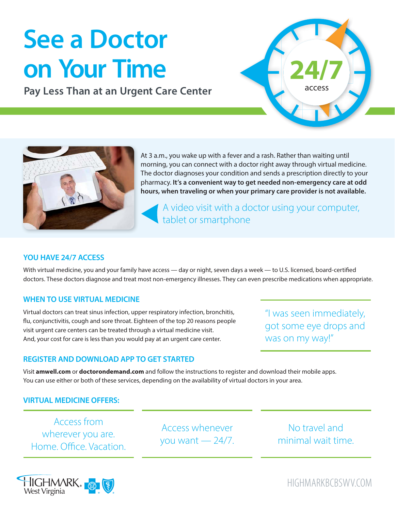# **See a Doctor on Your Time**

**Pay Less Than at an Urgent Care Center**





At 3 a.m., you wake up with a fever and a rash. Rather than waiting until morning, you can connect with a doctor right away through virtual medicine. The doctor diagnoses your condition and sends a prescription directly to your pharmacy. **It's a convenient way to get needed non-emergency care at odd hours, when traveling or when your primary care provider is not available.** 

A video visit with a doctor using your computer, tablet or smartphone

### **YOU HAVE 24/7 ACCESS**

With virtual medicine, you and your family have access — day or night, seven days a week — to U.S. licensed, board-certified doctors. These doctors diagnose and treat most non-emergency illnesses. They can even prescribe medications when appropriate.

#### **WHEN TO USE VIRTUAL MEDICINE**

Virtual doctors can treat sinus infection, upper respiratory infection, bronchitis, flu, conjunctivitis, cough and sore throat. Eighteen of the top 20 reasons people visit urgent care centers can be treated through a virtual medicine visit. And, your cost for care is less than you would pay at an urgent care center.

"I was seen immediately, got some eye drops and was on my way!"

#### **REGISTER AND DOWNLOAD APP TO GET STARTED**

Visit **amwell.com** or **doctorondemand.com** and follow the instructions to register and download their mobile apps. You can use either or both of these services, depending on the availability of virtual doctors in your area.

## **VIRTUAL MEDICINE OFFERS:**

Access from wherever you are. Home. Office. Vacation.

Access whenever you want  $-24/7$ .

No travel and minimal wait time.



HIGHMARKBCBSWV.COM